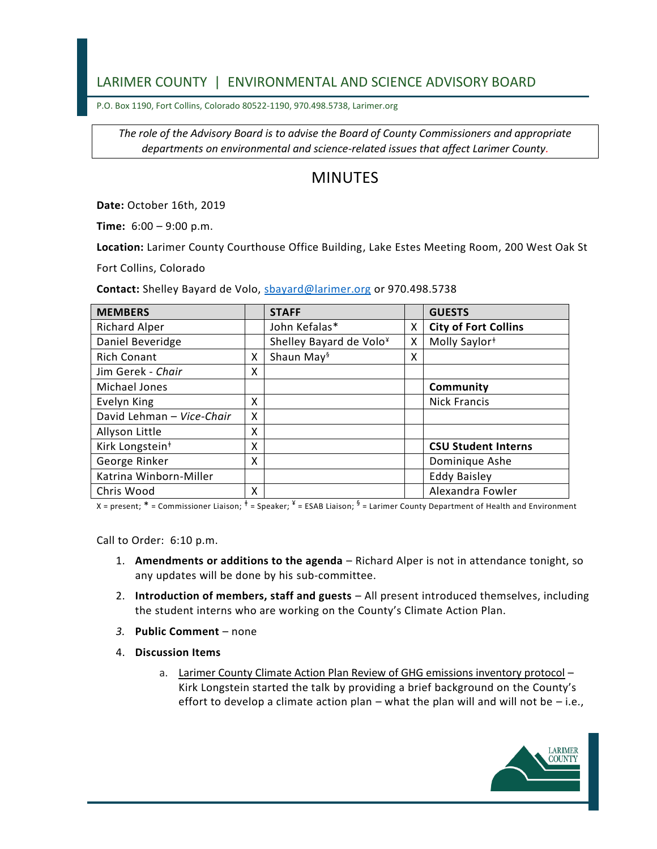## LARIMER COUNTY | ENVIRONMENTAL AND SCIENCE ADVISORY BOARD

P.O. Box 1190, Fort Collins, Colorado 80522-1190, 970.498.5738, Larimer.org

*The role of the Advisory Board is to advise the Board of County Commissioners and appropriate departments on environmental and science-related issues that affect Larimer County.*

## MINUTES

**Date:** October 16th, 2019

**Time:** 6:00 – 9:00 p.m.

**Location:** Larimer County Courthouse Office Building, Lake Estes Meeting Room, 200 West Oak St

Fort Collins, Colorado

**Contact:** Shelley Bayard de Volo, [sbayard@larimer.org](mailto:sbayard@larimer.org) or 970.498.5738

| <b>MEMBERS</b>              |   | <b>STAFF</b>                        |   | <b>GUESTS</b>               |
|-----------------------------|---|-------------------------------------|---|-----------------------------|
| <b>Richard Alper</b>        |   | John Kefalas*                       | Χ | <b>City of Fort Collins</b> |
| Daniel Beveridge            |   | Shelley Bayard de Volo <sup>¥</sup> | X | Molly Saylor <sup>#</sup>   |
| <b>Rich Conant</b>          | X | Shaun May <sup>§</sup>              | х |                             |
| Jim Gerek - Chair           | X |                                     |   |                             |
| Michael Jones               |   |                                     |   | Community                   |
| Evelyn King                 | X |                                     |   | <b>Nick Francis</b>         |
| David Lehman - Vice-Chair   | X |                                     |   |                             |
| Allyson Little              | X |                                     |   |                             |
| Kirk Longstein <sup>+</sup> | X |                                     |   | <b>CSU Student Interns</b>  |
| George Rinker               | X |                                     |   | Dominique Ashe              |
| Katrina Winborn-Miller      |   |                                     |   | <b>Eddy Baisley</b>         |
| Chris Wood                  | X |                                     |   | Alexandra Fowler            |

X = present;  $^*$  = Commissioner Liaison;  $^\ddag$  = Speaker;  $^*$  = ESAB Liaison;  $^{\$}$  = Larimer County Department of Health and Environment

Call to Order: 6:10 p.m.

- 1. **Amendments or additions to the agenda** Richard Alper is not in attendance tonight, so any updates will be done by his sub-committee.
- 2. **Introduction of members, staff and guests** All present introduced themselves, including the student interns who are working on the County's Climate Action Plan.
- *3.* **Public Comment** none
- 4. **Discussion Items**
	- a. Larimer County Climate Action Plan Review of GHG emissions inventory protocol Kirk Longstein started the talk by providing a brief background on the County's effort to develop a climate action plan – what the plan will and will not be – i.e.,

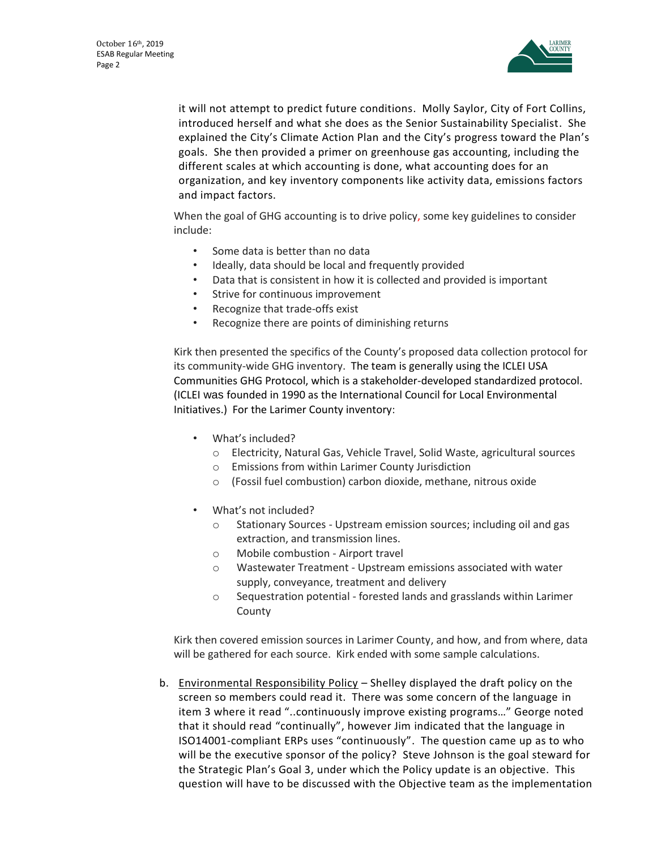

it will not attempt to predict future conditions. Molly Saylor, City of Fort Collins, introduced herself and what she does as the Senior Sustainability Specialist. She explained the City's Climate Action Plan and the City's progress toward the Plan's goals. She then provided a primer on greenhouse gas accounting, including the different scales at which accounting is done, what accounting does for an organization, and key inventory components like activity data, emissions factors and impact factors.

When the goal of GHG accounting is to drive policy, some key guidelines to consider include:

- Some data is better than no data
- Ideally, data should be local and frequently provided
- Data that is consistent in how it is collected and provided is important
- Strive for continuous improvement
- Recognize that trade-offs exist
- Recognize there are points of diminishing returns

Kirk then presented the specifics of the County's proposed data collection protocol for its community-wide GHG inventory. The team is generally using the ICLEI USA Communities GHG Protocol, which is a stakeholder-developed standardized protocol. (ICLEI was founded in 1990 as the International Council for Local Environmental Initiatives.) For the Larimer County inventory:

- What's included?
	- o Electricity, Natural Gas, Vehicle Travel, Solid Waste, agricultural sources
	- o Emissions from within Larimer County Jurisdiction
	- o (Fossil fuel combustion) carbon dioxide, methane, nitrous oxide
- What's not included?
	- o Stationary Sources Upstream emission sources; including oil and gas extraction, and transmission lines.
	- o Mobile combustion Airport travel
	- o Wastewater Treatment Upstream emissions associated with water supply, conveyance, treatment and delivery
	- o Sequestration potential forested lands and grasslands within Larimer County

Kirk then covered emission sources in Larimer County, and how, and from where, data will be gathered for each source. Kirk ended with some sample calculations.

b. Environmental Responsibility Policy – Shelley displayed the draft policy on the screen so members could read it. There was some concern of the language in item 3 where it read "..continuously improve existing programs…" George noted that it should read "continually", however Jim indicated that the language in ISO14001-compliant ERPs uses "continuously". The question came up as to who will be the executive sponsor of the policy? Steve Johnson is the goal steward for the Strategic Plan's Goal 3, under which the Policy update is an objective. This question will have to be discussed with the Objective team as the implementation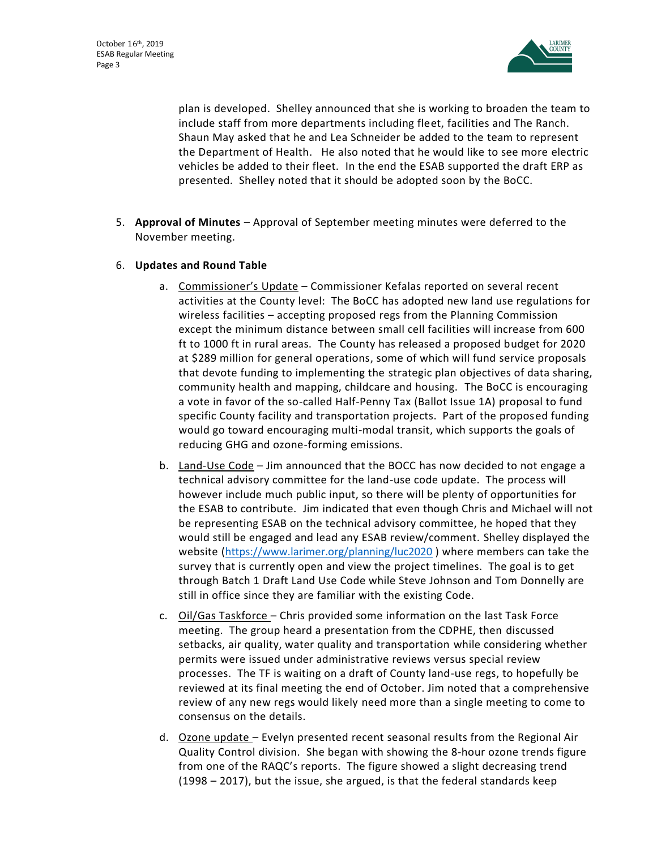

plan is developed. Shelley announced that she is working to broaden the team to include staff from more departments including fleet, facilities and The Ranch. Shaun May asked that he and Lea Schneider be added to the team to represent the Department of Health. He also noted that he would like to see more electric vehicles be added to their fleet. In the end the ESAB supported the draft ERP as presented. Shelley noted that it should be adopted soon by the BoCC.

- 5. **Approval of Minutes** Approval of September meeting minutes were deferred to the November meeting.
- 6. **Updates and Round Table**
	- a. Commissioner's Update Commissioner Kefalas reported on several recent activities at the County level: The BoCC has adopted new land use regulations for wireless facilities – accepting proposed regs from the Planning Commission except the minimum distance between small cell facilities will increase from 600 ft to 1000 ft in rural areas. The County has released a proposed budget for 2020 at \$289 million for general operations, some of which will fund service proposals that devote funding to implementing the strategic plan objectives of data sharing, community health and mapping, childcare and housing. The BoCC is encouraging a vote in favor of the so-called Half-Penny Tax (Ballot Issue 1A) proposal to fund specific County facility and transportation projects. Part of the proposed funding would go toward encouraging multi-modal transit, which supports the goals of reducing GHG and ozone-forming emissions.
	- b. Land-Use Code Jim announced that the BOCC has now decided to not engage a technical advisory committee for the land-use code update. The process will however include much public input, so there will be plenty of opportunities for the ESAB to contribute. Jim indicated that even though Chris and Michael will not be representing ESAB on the technical advisory committee, he hoped that they would still be engaged and lead any ESAB review/comment. Shelley displayed the website [\(https://www.larimer.org/planning/luc2020](https://www.larimer.org/planning/luc2020) ) where members can take the survey that is currently open and view the project timelines. The goal is to get through Batch 1 Draft Land Use Code while Steve Johnson and Tom Donnelly are still in office since they are familiar with the existing Code.
	- c. Oil/Gas Taskforce Chris provided some information on the last Task Force meeting. The group heard a presentation from the CDPHE, then discussed setbacks, air quality, water quality and transportation while considering whether permits were issued under administrative reviews versus special review processes. The TF is waiting on a draft of County land-use regs, to hopefully be reviewed at its final meeting the end of October. Jim noted that a comprehensive review of any new regs would likely need more than a single meeting to come to consensus on the details.
	- d. Ozone update Evelyn presented recent seasonal results from the Regional Air Quality Control division. She began with showing the 8-hour ozone trends figure from one of the RAQC's reports. The figure showed a slight decreasing trend (1998 – 2017), but the issue, she argued, is that the federal standards keep